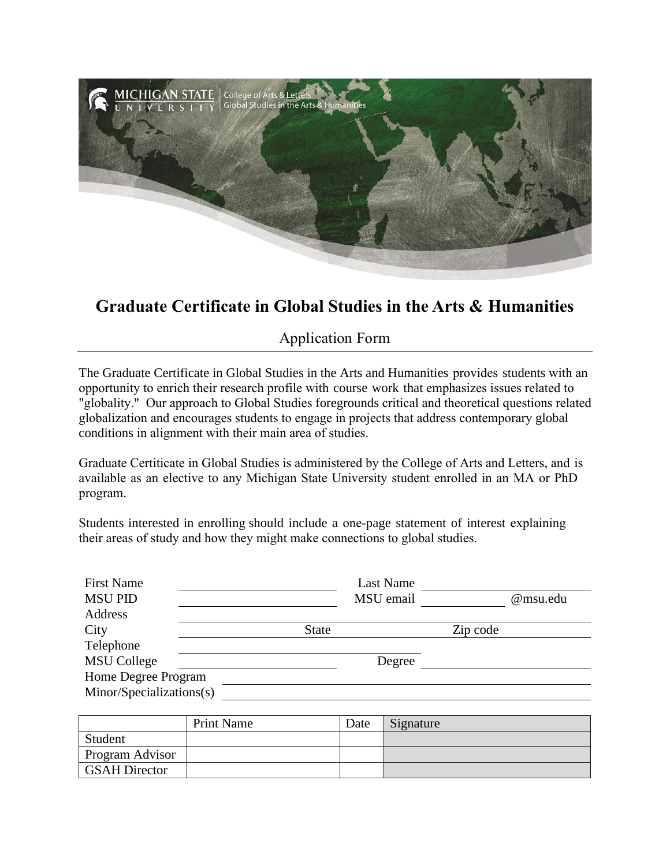

## **Graduate Certificate in Global Studies in the Arts & Humanities**

Application Form

The Graduate Certificate in Global Studies in the Arts and Humanities provides students with an opportunity to enrich their research profile with course work that emphasizes issues related to "globality." Our approach to Global Studies foregrounds critical and theoretical questions related globalization and encourages students to engage in projects that address contemporary global conditions in alignment with their main area of studies.

Graduate Certiticate in Global Studies is administered by the College of Arts and Letters, and is available as an elective to any Michigan State University student enrolled in an MA or PhD program.

Students interested in enrolling should include a one-page statement of interest explaining their areas of study and how they might make connections to global studies.

| <b>First Name</b>        |              | Last Name |          |          |
|--------------------------|--------------|-----------|----------|----------|
| <b>MSU PID</b>           |              | MSU email |          | @msu.edu |
| Address                  |              |           |          |          |
| City                     | <b>State</b> |           | Zip code |          |
| Telephone                |              |           |          |          |
| <b>MSU College</b>       |              | Degree    |          |          |
| Home Degree Program      |              |           |          |          |
| Minor/Specializations(s) |              |           |          |          |
|                          |              |           |          |          |

|                        | <b>Print Name</b> | Date | Signature |
|------------------------|-------------------|------|-----------|
| Student                |                   |      |           |
| <b>Program Advisor</b> |                   |      |           |
| <b>GSAH Director</b>   |                   |      |           |